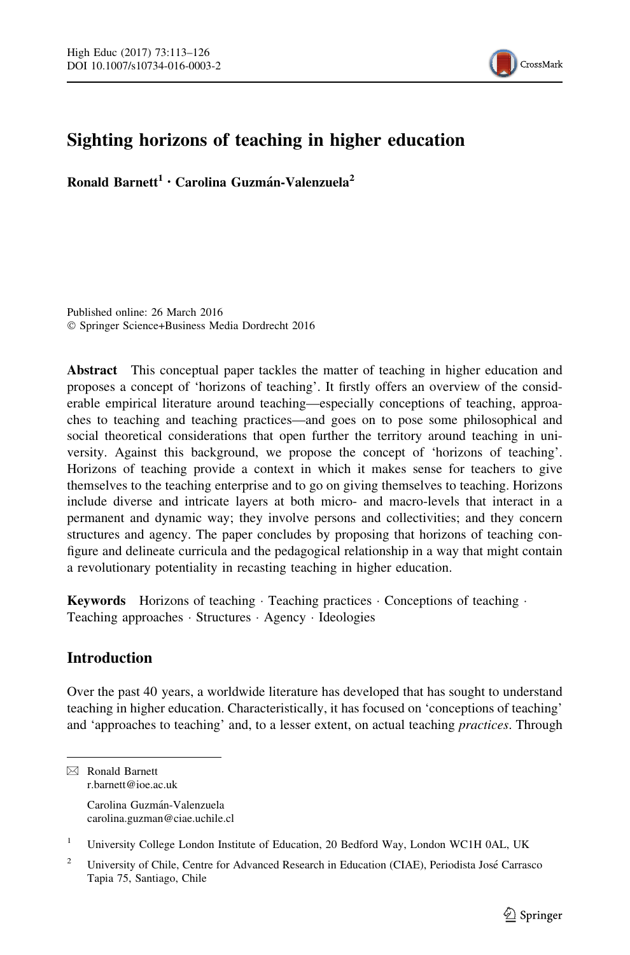

# Sighting horizons of teaching in higher education

Ronald Barnett<sup>1</sup> · Carolina Guzmán-Valenzuela<sup>2</sup>

Published online: 26 March 2016 - Springer Science+Business Media Dordrecht 2016

Abstract This conceptual paper tackles the matter of teaching in higher education and proposes a concept of 'horizons of teaching'. It firstly offers an overview of the considerable empirical literature around teaching—especially conceptions of teaching, approaches to teaching and teaching practices—and goes on to pose some philosophical and social theoretical considerations that open further the territory around teaching in university. Against this background, we propose the concept of 'horizons of teaching'. Horizons of teaching provide a context in which it makes sense for teachers to give themselves to the teaching enterprise and to go on giving themselves to teaching. Horizons include diverse and intricate layers at both micro- and macro-levels that interact in a permanent and dynamic way; they involve persons and collectivities; and they concern structures and agency. The paper concludes by proposing that horizons of teaching configure and delineate curricula and the pedagogical relationship in a way that might contain a revolutionary potentiality in recasting teaching in higher education.

Keywords Horizons of teaching · Teaching practices · Conceptions of teaching · Teaching approaches - Structures - Agency - Ideologies

## Introduction

Over the past 40 years, a worldwide literature has developed that has sought to understand teaching in higher education. Characteristically, it has focused on 'conceptions of teaching' and 'approaches to teaching' and, to a lesser extent, on actual teaching practices. Through

Carolina Guzmán-Valenzuela carolina.guzman@ciae.uchile.cl

<sup>1</sup> University College London Institute of Education, 20 Bedford Way, London WC1H 0AL, UK

 $\boxtimes$  Ronald Barnett r.barnett@ioe.ac.uk

<sup>&</sup>lt;sup>2</sup> University of Chile, Centre for Advanced Research in Education (CIAE), Periodista José Carrasco Tapia 75, Santiago, Chile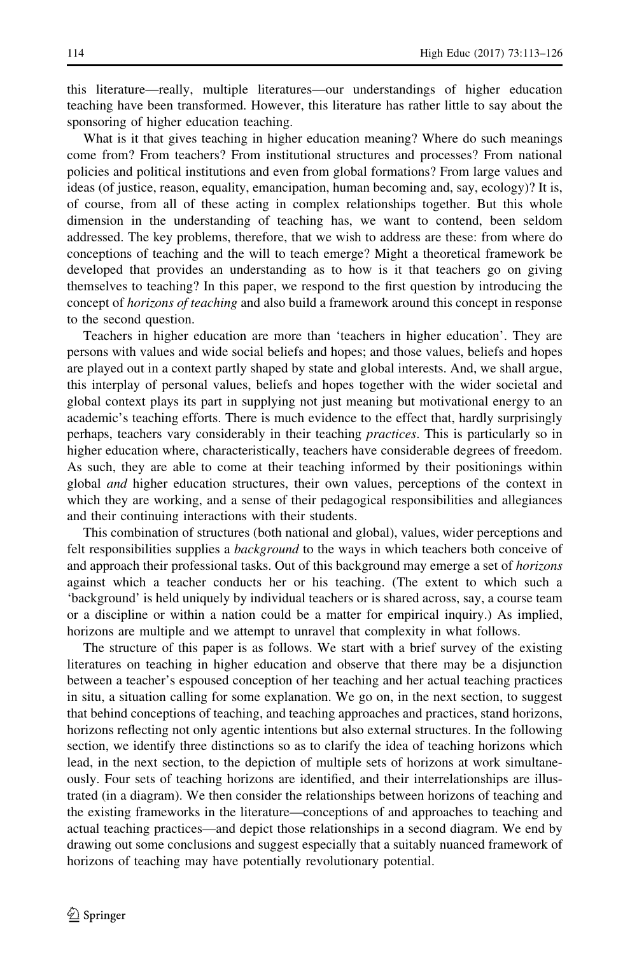this literature—really, multiple literatures—our understandings of higher education teaching have been transformed. However, this literature has rather little to say about the sponsoring of higher education teaching.

What is it that gives teaching in higher education meaning? Where do such meanings come from? From teachers? From institutional structures and processes? From national policies and political institutions and even from global formations? From large values and ideas (of justice, reason, equality, emancipation, human becoming and, say, ecology)? It is, of course, from all of these acting in complex relationships together. But this whole dimension in the understanding of teaching has, we want to contend, been seldom addressed. The key problems, therefore, that we wish to address are these: from where do conceptions of teaching and the will to teach emerge? Might a theoretical framework be developed that provides an understanding as to how is it that teachers go on giving themselves to teaching? In this paper, we respond to the first question by introducing the concept of *horizons of teaching* and also build a framework around this concept in response to the second question.

Teachers in higher education are more than 'teachers in higher education'. They are persons with values and wide social beliefs and hopes; and those values, beliefs and hopes are played out in a context partly shaped by state and global interests. And, we shall argue, this interplay of personal values, beliefs and hopes together with the wider societal and global context plays its part in supplying not just meaning but motivational energy to an academic's teaching efforts. There is much evidence to the effect that, hardly surprisingly perhaps, teachers vary considerably in their teaching practices. This is particularly so in higher education where, characteristically, teachers have considerable degrees of freedom. As such, they are able to come at their teaching informed by their positionings within global *and* higher education structures, their own values, perceptions of the context in which they are working, and a sense of their pedagogical responsibilities and allegiances and their continuing interactions with their students.

This combination of structures (both national and global), values, wider perceptions and felt responsibilities supplies a *background* to the ways in which teachers both conceive of and approach their professional tasks. Out of this background may emerge a set of *horizons* against which a teacher conducts her or his teaching. (The extent to which such a 'background' is held uniquely by individual teachers or is shared across, say, a course team or a discipline or within a nation could be a matter for empirical inquiry.) As implied, horizons are multiple and we attempt to unravel that complexity in what follows.

The structure of this paper is as follows. We start with a brief survey of the existing literatures on teaching in higher education and observe that there may be a disjunction between a teacher's espoused conception of her teaching and her actual teaching practices in situ, a situation calling for some explanation. We go on, in the next section, to suggest that behind conceptions of teaching, and teaching approaches and practices, stand horizons, horizons reflecting not only agentic intentions but also external structures. In the following section, we identify three distinctions so as to clarify the idea of teaching horizons which lead, in the next section, to the depiction of multiple sets of horizons at work simultaneously. Four sets of teaching horizons are identified, and their interrelationships are illustrated (in a diagram). We then consider the relationships between horizons of teaching and the existing frameworks in the literature—conceptions of and approaches to teaching and actual teaching practices—and depict those relationships in a second diagram. We end by drawing out some conclusions and suggest especially that a suitably nuanced framework of horizons of teaching may have potentially revolutionary potential.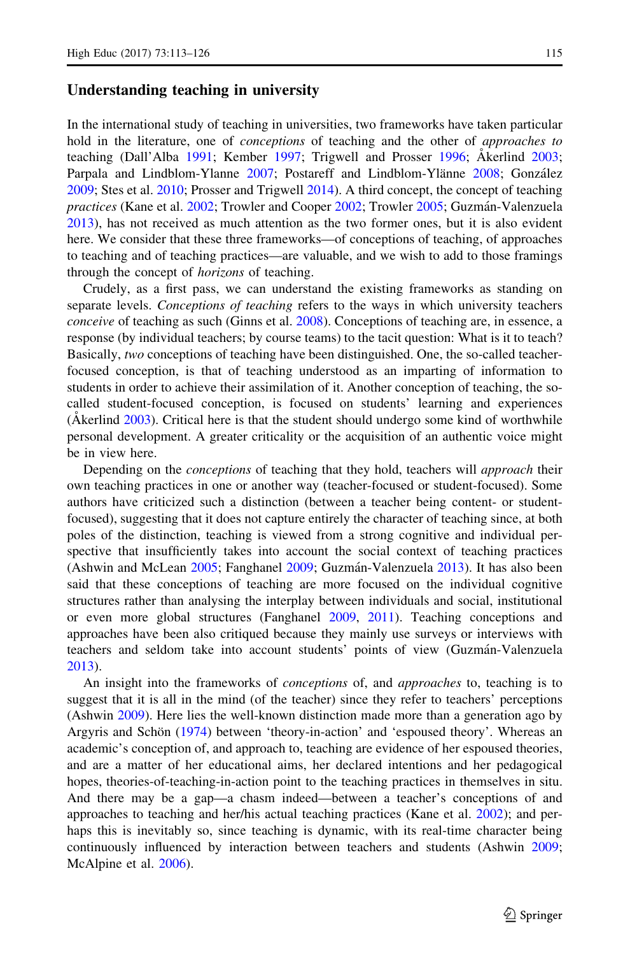#### Understanding teaching in university

In the international study of teaching in universities, two frameworks have taken particular hold in the literature, one of *conceptions* of teaching and the other of *approaches to* teaching (Dall'Alba [1991;](#page-12-0) Kember [1997](#page-13-0); Trigwell and Prosser [1996](#page-13-0); Åkerlind [2003;](#page-12-0) Parpala and Lindblom-Ylanne [2007](#page-13-0); Postareff and Lindblom-Ylänne [2008](#page-13-0); González [2009;](#page-12-0) Stes et al. [2010](#page-13-0); Prosser and Trigwell [2014](#page-13-0)). A third concept, the concept of teaching practices (Kane et al. [2002](#page-13-0); Trowler and Cooper [2002;](#page-13-0) Trowler [2005](#page-13-0); Guzmán-Valenzuela [2013\)](#page-12-0), has not received as much attention as the two former ones, but it is also evident here. We consider that these three frameworks—of conceptions of teaching, of approaches to teaching and of teaching practices—are valuable, and we wish to add to those framings through the concept of horizons of teaching.

Crudely, as a first pass, we can understand the existing frameworks as standing on separate levels. Conceptions of teaching refers to the ways in which university teachers conceive of teaching as such (Ginns et al. [2008\)](#page-12-0). Conceptions of teaching are, in essence, a response (by individual teachers; by course teams) to the tacit question: What is it to teach? Basically, two conceptions of teaching have been distinguished. One, the so-called teacherfocused conception, is that of teaching understood as an imparting of information to students in order to achieve their assimilation of it. Another conception of teaching, the socalled student-focused conception, is focused on students' learning and experiences  $(A$ kerlind [2003](#page-12-0)). Critical here is that the student should undergo some kind of worthwhile personal development. A greater criticality or the acquisition of an authentic voice might be in view here.

Depending on the *conceptions* of teaching that they hold, teachers will *approach* their own teaching practices in one or another way (teacher-focused or student-focused). Some authors have criticized such a distinction (between a teacher being content- or studentfocused), suggesting that it does not capture entirely the character of teaching since, at both poles of the distinction, teaching is viewed from a strong cognitive and individual perspective that insufficiently takes into account the social context of teaching practices (Ashwin and McLean [2005](#page-12-0); Fanghanel [2009;](#page-12-0) Guzmán-Valenzuela [2013](#page-12-0)). It has also been said that these conceptions of teaching are more focused on the individual cognitive structures rather than analysing the interplay between individuals and social, institutional or even more global structures (Fanghanel [2009,](#page-12-0) [2011\)](#page-12-0). Teaching conceptions and approaches have been also critiqued because they mainly use surveys or interviews with teachers and seldom take into account students' points of view (Guzmán-Valenzuela [2013\)](#page-12-0).

An insight into the frameworks of *conceptions* of, and *approaches* to, teaching is to suggest that it is all in the mind (of the teacher) since they refer to teachers' perceptions (Ashwin [2009](#page-12-0)). Here lies the well-known distinction made more than a generation ago by Argyris and Schön ([1974\)](#page-12-0) between 'theory-in-action' and 'espoused theory'. Whereas an academic's conception of, and approach to, teaching are evidence of her espoused theories, and are a matter of her educational aims, her declared intentions and her pedagogical hopes, theories-of-teaching-in-action point to the teaching practices in themselves in situ. And there may be a gap—a chasm indeed—between a teacher's conceptions of and approaches to teaching and her/his actual teaching practices (Kane et al. [2002](#page-13-0)); and perhaps this is inevitably so, since teaching is dynamic, with its real-time character being continuously influenced by interaction between teachers and students (Ashwin [2009;](#page-12-0) McAlpine et al. [2006\)](#page-13-0).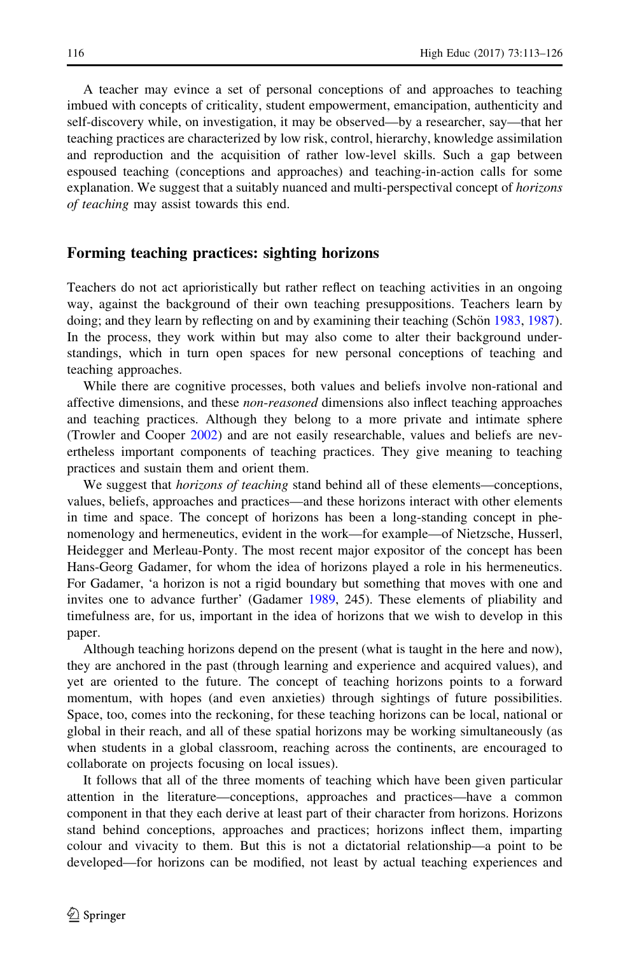A teacher may evince a set of personal conceptions of and approaches to teaching imbued with concepts of criticality, student empowerment, emancipation, authenticity and self-discovery while, on investigation, it may be observed—by a researcher, say—that her teaching practices are characterized by low risk, control, hierarchy, knowledge assimilation and reproduction and the acquisition of rather low-level skills. Such a gap between espoused teaching (conceptions and approaches) and teaching-in-action calls for some explanation. We suggest that a suitably nuanced and multi-perspectival concept of *horizons* of teaching may assist towards this end.

### Forming teaching practices: sighting horizons

Teachers do not act aprioristically but rather reflect on teaching activities in an ongoing way, against the background of their own teaching presuppositions. Teachers learn by doing; and they learn by reflecting on and by examining their teaching (Schön [1983,](#page-13-0) [1987](#page-13-0)). In the process, they work within but may also come to alter their background understandings, which in turn open spaces for new personal conceptions of teaching and teaching approaches.

While there are cognitive processes, both values and beliefs involve non-rational and affective dimensions, and these *non-reasoned* dimensions also inflect teaching approaches and teaching practices. Although they belong to a more private and intimate sphere (Trowler and Cooper [2002\)](#page-13-0) and are not easily researchable, values and beliefs are nevertheless important components of teaching practices. They give meaning to teaching practices and sustain them and orient them.

We suggest that *horizons of teaching* stand behind all of these elements—conceptions, values, beliefs, approaches and practices—and these horizons interact with other elements in time and space. The concept of horizons has been a long-standing concept in phenomenology and hermeneutics, evident in the work—for example—of Nietzsche, Husserl, Heidegger and Merleau-Ponty. The most recent major expositor of the concept has been Hans-Georg Gadamer, for whom the idea of horizons played a role in his hermeneutics. For Gadamer, 'a horizon is not a rigid boundary but something that moves with one and invites one to advance further' (Gadamer [1989](#page-12-0), 245). These elements of pliability and timefulness are, for us, important in the idea of horizons that we wish to develop in this paper.

Although teaching horizons depend on the present (what is taught in the here and now), they are anchored in the past (through learning and experience and acquired values), and yet are oriented to the future. The concept of teaching horizons points to a forward momentum, with hopes (and even anxieties) through sightings of future possibilities. Space, too, comes into the reckoning, for these teaching horizons can be local, national or global in their reach, and all of these spatial horizons may be working simultaneously (as when students in a global classroom, reaching across the continents, are encouraged to collaborate on projects focusing on local issues).

It follows that all of the three moments of teaching which have been given particular attention in the literature—conceptions, approaches and practices—have a common component in that they each derive at least part of their character from horizons. Horizons stand behind conceptions, approaches and practices; horizons inflect them, imparting colour and vivacity to them. But this is not a dictatorial relationship—a point to be developed—for horizons can be modified, not least by actual teaching experiences and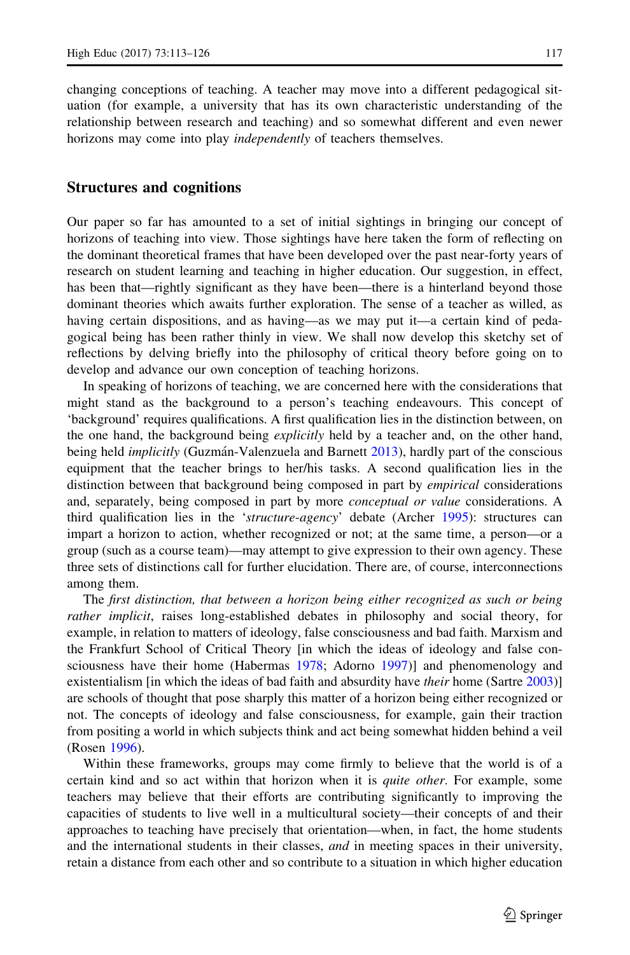changing conceptions of teaching. A teacher may move into a different pedagogical situation (for example, a university that has its own characteristic understanding of the relationship between research and teaching) and so somewhat different and even newer horizons may come into play *independently* of teachers themselves.

#### Structures and cognitions

Our paper so far has amounted to a set of initial sightings in bringing our concept of horizons of teaching into view. Those sightings have here taken the form of reflecting on the dominant theoretical frames that have been developed over the past near-forty years of research on student learning and teaching in higher education. Our suggestion, in effect, has been that—rightly significant as they have been—there is a hinterland beyond those dominant theories which awaits further exploration. The sense of a teacher as willed, as having certain dispositions, and as having—as we may put it—a certain kind of pedagogical being has been rather thinly in view. We shall now develop this sketchy set of reflections by delving briefly into the philosophy of critical theory before going on to develop and advance our own conception of teaching horizons.

In speaking of horizons of teaching, we are concerned here with the considerations that might stand as the background to a person's teaching endeavours. This concept of 'background' requires qualifications. A first qualification lies in the distinction between, on the one hand, the background being *explicitly* held by a teacher and, on the other hand, being held *implicitly* (Guzmán-Valenzuela and Barnett [2013\)](#page-12-0), hardly part of the conscious equipment that the teacher brings to her/his tasks. A second qualification lies in the distinction between that background being composed in part by *empirical* considerations and, separately, being composed in part by more *conceptual or value* considerations. A third qualification lies in the 'structure-agency' debate (Archer [1995](#page-12-0)): structures can impart a horizon to action, whether recognized or not; at the same time, a person—or a group (such as a course team)—may attempt to give expression to their own agency. These three sets of distinctions call for further elucidation. There are, of course, interconnections among them.

The first distinction, that between a horizon being either recognized as such or being rather implicit, raises long-established debates in philosophy and social theory, for example, in relation to matters of ideology, false consciousness and bad faith. Marxism and the Frankfurt School of Critical Theory [in which the ideas of ideology and false consciousness have their home (Habermas [1978;](#page-12-0) Adorno [1997\)](#page-12-0)] and phenomenology and existentialism [in which the ideas of bad faith and absurdity have *their* home (Sartre [2003](#page-13-0))] are schools of thought that pose sharply this matter of a horizon being either recognized or not. The concepts of ideology and false consciousness, for example, gain their traction from positing a world in which subjects think and act being somewhat hidden behind a veil (Rosen [1996\)](#page-13-0).

Within these frameworks, groups may come firmly to believe that the world is of a certain kind and so act within that horizon when it is quite other. For example, some teachers may believe that their efforts are contributing significantly to improving the capacities of students to live well in a multicultural society—their concepts of and their approaches to teaching have precisely that orientation—when, in fact, the home students and the international students in their classes, and in meeting spaces in their university, retain a distance from each other and so contribute to a situation in which higher education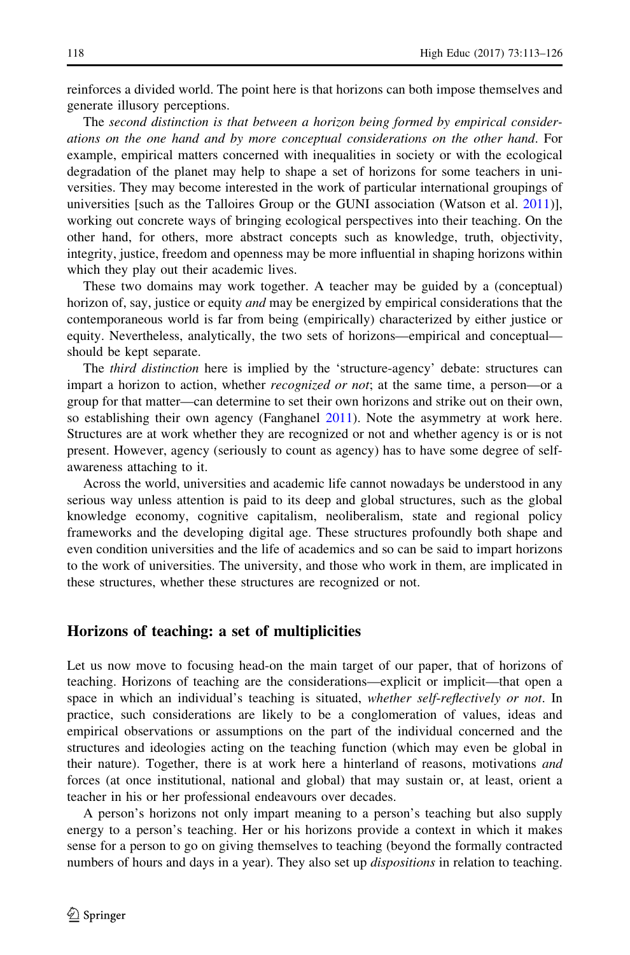reinforces a divided world. The point here is that horizons can both impose themselves and generate illusory perceptions.

The second distinction is that between a horizon being formed by empirical considerations on the one hand and by more conceptual considerations on the other hand. For example, empirical matters concerned with inequalities in society or with the ecological degradation of the planet may help to shape a set of horizons for some teachers in universities. They may become interested in the work of particular international groupings of universities [such as the Talloires Group or the GUNI association (Watson et al. [2011\)](#page-13-0)], working out concrete ways of bringing ecological perspectives into their teaching. On the other hand, for others, more abstract concepts such as knowledge, truth, objectivity, integrity, justice, freedom and openness may be more influential in shaping horizons within which they play out their academic lives.

These two domains may work together. A teacher may be guided by a (conceptual) horizon of, say, justice or equity *and* may be energized by empirical considerations that the contemporaneous world is far from being (empirically) characterized by either justice or equity. Nevertheless, analytically, the two sets of horizons—empirical and conceptual should be kept separate.

The *third distinction* here is implied by the 'structure-agency' debate: structures can impart a horizon to action, whether *recognized or not*; at the same time, a person—or a group for that matter—can determine to set their own horizons and strike out on their own, so establishing their own agency (Fanghanel [2011](#page-12-0)). Note the asymmetry at work here. Structures are at work whether they are recognized or not and whether agency is or is not present. However, agency (seriously to count as agency) has to have some degree of selfawareness attaching to it.

Across the world, universities and academic life cannot nowadays be understood in any serious way unless attention is paid to its deep and global structures, such as the global knowledge economy, cognitive capitalism, neoliberalism, state and regional policy frameworks and the developing digital age. These structures profoundly both shape and even condition universities and the life of academics and so can be said to impart horizons to the work of universities. The university, and those who work in them, are implicated in these structures, whether these structures are recognized or not.

#### Horizons of teaching: a set of multiplicities

Let us now move to focusing head-on the main target of our paper, that of horizons of teaching. Horizons of teaching are the considerations—explicit or implicit—that open a space in which an individual's teaching is situated, whether self-reflectively or not. In practice, such considerations are likely to be a conglomeration of values, ideas and empirical observations or assumptions on the part of the individual concerned and the structures and ideologies acting on the teaching function (which may even be global in their nature). Together, there is at work here a hinterland of reasons, motivations and forces (at once institutional, national and global) that may sustain or, at least, orient a teacher in his or her professional endeavours over decades.

A person's horizons not only impart meaning to a person's teaching but also supply energy to a person's teaching. Her or his horizons provide a context in which it makes sense for a person to go on giving themselves to teaching (beyond the formally contracted numbers of hours and days in a year). They also set up *dispositions* in relation to teaching.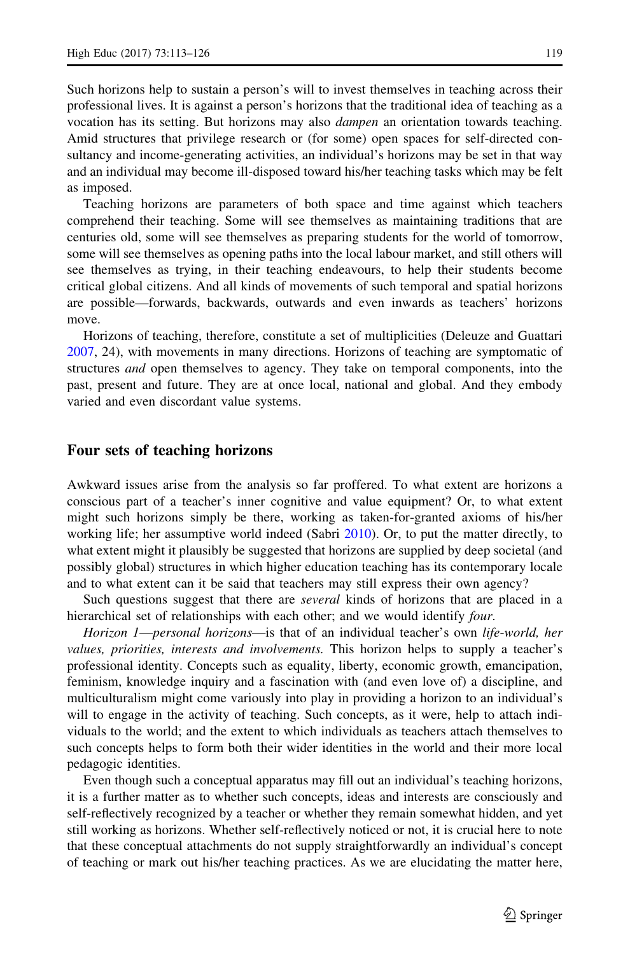Such horizons help to sustain a person's will to invest themselves in teaching across their professional lives. It is against a person's horizons that the traditional idea of teaching as a vocation has its setting. But horizons may also dampen an orientation towards teaching. Amid structures that privilege research or (for some) open spaces for self-directed consultancy and income-generating activities, an individual's horizons may be set in that way and an individual may become ill-disposed toward his/her teaching tasks which may be felt as imposed.

Teaching horizons are parameters of both space and time against which teachers comprehend their teaching. Some will see themselves as maintaining traditions that are centuries old, some will see themselves as preparing students for the world of tomorrow, some will see themselves as opening paths into the local labour market, and still others will see themselves as trying, in their teaching endeavours, to help their students become critical global citizens. And all kinds of movements of such temporal and spatial horizons are possible—forwards, backwards, outwards and even inwards as teachers' horizons move.

Horizons of teaching, therefore, constitute a set of multiplicities (Deleuze and Guattari [2007,](#page-12-0) 24), with movements in many directions. Horizons of teaching are symptomatic of structures *and* open themselves to agency. They take on temporal components, into the past, present and future. They are at once local, national and global. And they embody varied and even discordant value systems.

## Four sets of teaching horizons

Awkward issues arise from the analysis so far proffered. To what extent are horizons a conscious part of a teacher's inner cognitive and value equipment? Or, to what extent might such horizons simply be there, working as taken-for-granted axioms of his/her working life; her assumptive world indeed (Sabri [2010](#page-13-0)). Or, to put the matter directly, to what extent might it plausibly be suggested that horizons are supplied by deep societal (and possibly global) structures in which higher education teaching has its contemporary locale and to what extent can it be said that teachers may still express their own agency?

Such questions suggest that there are *several* kinds of horizons that are placed in a hierarchical set of relationships with each other; and we would identify four.

Horizon 1—personal horizons—is that of an individual teacher's own life-world, her values, priorities, interests and involvements. This horizon helps to supply a teacher's professional identity. Concepts such as equality, liberty, economic growth, emancipation, feminism, knowledge inquiry and a fascination with (and even love of) a discipline, and multiculturalism might come variously into play in providing a horizon to an individual's will to engage in the activity of teaching. Such concepts, as it were, help to attach individuals to the world; and the extent to which individuals as teachers attach themselves to such concepts helps to form both their wider identities in the world and their more local pedagogic identities.

Even though such a conceptual apparatus may fill out an individual's teaching horizons, it is a further matter as to whether such concepts, ideas and interests are consciously and self-reflectively recognized by a teacher or whether they remain somewhat hidden, and yet still working as horizons. Whether self-reflectively noticed or not, it is crucial here to note that these conceptual attachments do not supply straightforwardly an individual's concept of teaching or mark out his/her teaching practices. As we are elucidating the matter here,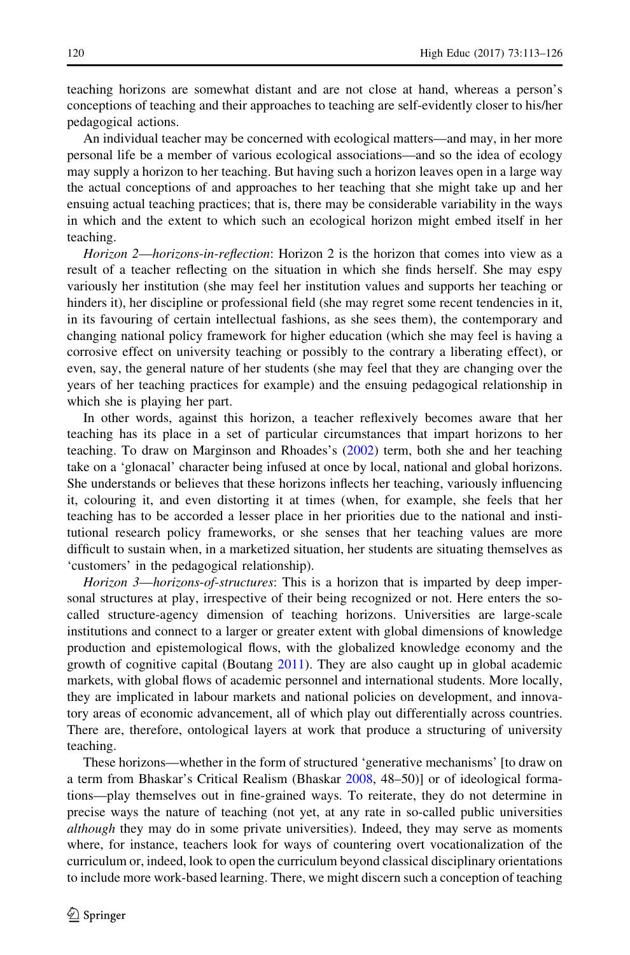teaching horizons are somewhat distant and are not close at hand, whereas a person's conceptions of teaching and their approaches to teaching are self-evidently closer to his/her pedagogical actions.

An individual teacher may be concerned with ecological matters—and may, in her more personal life be a member of various ecological associations—and so the idea of ecology may supply a horizon to her teaching. But having such a horizon leaves open in a large way the actual conceptions of and approaches to her teaching that she might take up and her ensuing actual teaching practices; that is, there may be considerable variability in the ways in which and the extent to which such an ecological horizon might embed itself in her teaching.

Horizon 2—horizons-in-reflection: Horizon 2 is the horizon that comes into view as a result of a teacher reflecting on the situation in which she finds herself. She may espy variously her institution (she may feel her institution values and supports her teaching or hinders it), her discipline or professional field (she may regret some recent tendencies in it, in its favouring of certain intellectual fashions, as she sees them), the contemporary and changing national policy framework for higher education (which she may feel is having a corrosive effect on university teaching or possibly to the contrary a liberating effect), or even, say, the general nature of her students (she may feel that they are changing over the years of her teaching practices for example) and the ensuing pedagogical relationship in which she is playing her part.

In other words, against this horizon, a teacher reflexively becomes aware that her teaching has its place in a set of particular circumstances that impart horizons to her teaching. To draw on Marginson and Rhoades's [\(2002](#page-13-0)) term, both she and her teaching take on a 'glonacal' character being infused at once by local, national and global horizons. She understands or believes that these horizons inflects her teaching, variously influencing it, colouring it, and even distorting it at times (when, for example, she feels that her teaching has to be accorded a lesser place in her priorities due to the national and institutional research policy frameworks, or she senses that her teaching values are more difficult to sustain when, in a marketized situation, her students are situating themselves as 'customers' in the pedagogical relationship).

Horizon 3—horizons-of-structures: This is a horizon that is imparted by deep impersonal structures at play, irrespective of their being recognized or not. Here enters the socalled structure-agency dimension of teaching horizons. Universities are large-scale institutions and connect to a larger or greater extent with global dimensions of knowledge production and epistemological flows, with the globalized knowledge economy and the growth of cognitive capital (Boutang [2011\)](#page-12-0). They are also caught up in global academic markets, with global flows of academic personnel and international students. More locally, they are implicated in labour markets and national policies on development, and innovatory areas of economic advancement, all of which play out differentially across countries. There are, therefore, ontological layers at work that produce a structuring of university teaching.

These horizons—whether in the form of structured 'generative mechanisms' [to draw on a term from Bhaskar's Critical Realism (Bhaskar [2008](#page-12-0), 48–50)] or of ideological formations—play themselves out in fine-grained ways. To reiterate, they do not determine in precise ways the nature of teaching (not yet, at any rate in so-called public universities although they may do in some private universities). Indeed, they may serve as moments where, for instance, teachers look for ways of countering overt vocationalization of the curriculum or, indeed, look to open the curriculum beyond classical disciplinary orientations to include more work-based learning. There, we might discern such a conception of teaching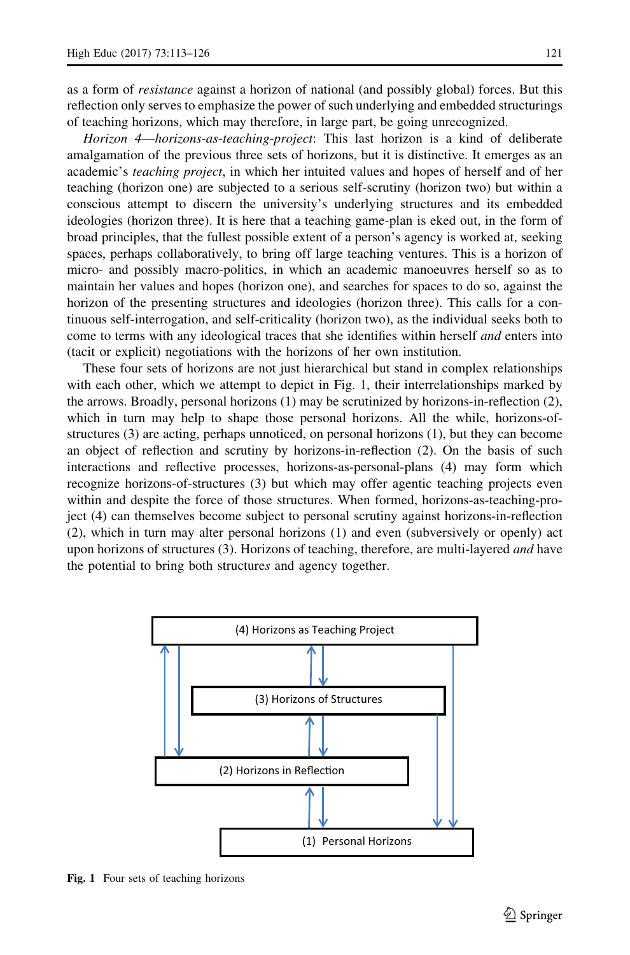<span id="page-8-0"></span>as a form of resistance against a horizon of national (and possibly global) forces. But this reflection only serves to emphasize the power of such underlying and embedded structurings of teaching horizons, which may therefore, in large part, be going unrecognized.

Horizon 4—horizons-as-teaching-project: This last horizon is a kind of deliberate amalgamation of the previous three sets of horizons, but it is distinctive. It emerges as an academic's teaching project, in which her intuited values and hopes of herself and of her teaching (horizon one) are subjected to a serious self-scrutiny (horizon two) but within a conscious attempt to discern the university's underlying structures and its embedded ideologies (horizon three). It is here that a teaching game-plan is eked out, in the form of broad principles, that the fullest possible extent of a person's agency is worked at, seeking spaces, perhaps collaboratively, to bring off large teaching ventures. This is a horizon of micro- and possibly macro-politics, in which an academic manoeuvres herself so as to maintain her values and hopes (horizon one), and searches for spaces to do so, against the horizon of the presenting structures and ideologies (horizon three). This calls for a continuous self-interrogation, and self-criticality (horizon two), as the individual seeks both to come to terms with any ideological traces that she identifies within herself *and* enters into (tacit or explicit) negotiations with the horizons of her own institution.

These four sets of horizons are not just hierarchical but stand in complex relationships with each other, which we attempt to depict in Fig. 1, their interrelationships marked by the arrows. Broadly, personal horizons (1) may be scrutinized by horizons-in-reflection (2), which in turn may help to shape those personal horizons. All the while, horizons-ofstructures (3) are acting, perhaps unnoticed, on personal horizons (1), but they can become an object of reflection and scrutiny by horizons-in-reflection (2). On the basis of such interactions and reflective processes, horizons-as-personal-plans (4) may form which recognize horizons-of-structures (3) but which may offer agentic teaching projects even within and despite the force of those structures. When formed, horizons-as-teaching-project (4) can themselves become subject to personal scrutiny against horizons-in-reflection (2), which in turn may alter personal horizons (1) and even (subversively or openly) act upon horizons of structures (3). Horizons of teaching, therefore, are multi-layered *and* have the potential to bring both structures and agency together.



Fig. 1 Four sets of teaching horizons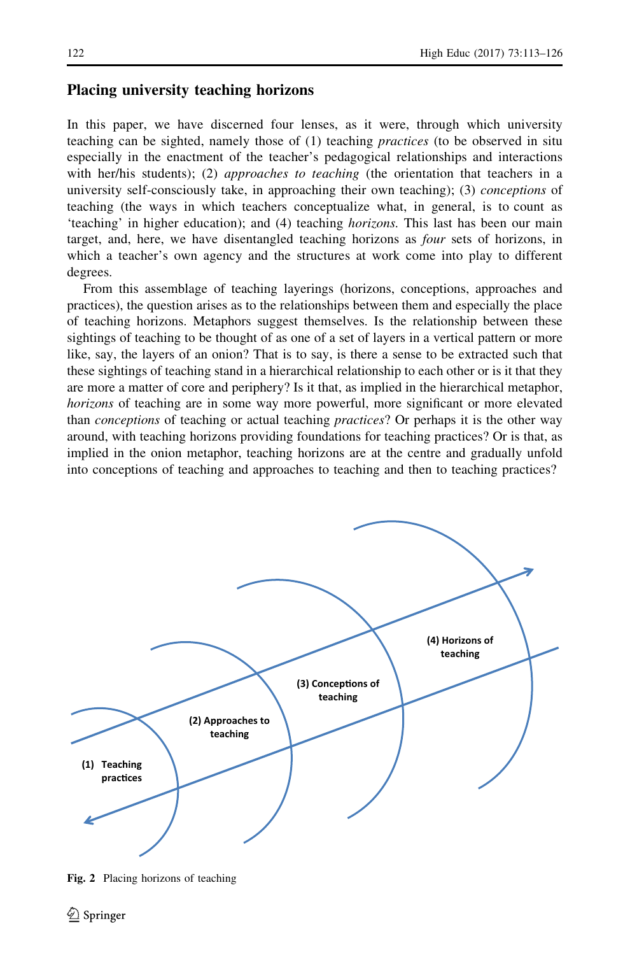#### <span id="page-9-0"></span>Placing university teaching horizons

In this paper, we have discerned four lenses, as it were, through which university teaching can be sighted, namely those of (1) teaching practices (to be observed in situ especially in the enactment of the teacher's pedagogical relationships and interactions with her/his students); (2) *approaches to teaching* (the orientation that teachers in a university self-consciously take, in approaching their own teaching); (3) *conceptions* of teaching (the ways in which teachers conceptualize what, in general, is to count as 'teaching' in higher education); and (4) teaching horizons. This last has been our main target, and, here, we have disentangled teaching horizons as *four* sets of horizons, in which a teacher's own agency and the structures at work come into play to different degrees.

From this assemblage of teaching layerings (horizons, conceptions, approaches and practices), the question arises as to the relationships between them and especially the place of teaching horizons. Metaphors suggest themselves. Is the relationship between these sightings of teaching to be thought of as one of a set of layers in a vertical pattern or more like, say, the layers of an onion? That is to say, is there a sense to be extracted such that these sightings of teaching stand in a hierarchical relationship to each other or is it that they are more a matter of core and periphery? Is it that, as implied in the hierarchical metaphor, horizons of teaching are in some way more powerful, more significant or more elevated than *conceptions* of teaching or actual teaching *practices*? Or perhaps it is the other way around, with teaching horizons providing foundations for teaching practices? Or is that, as implied in the onion metaphor, teaching horizons are at the centre and gradually unfold into conceptions of teaching and approaches to teaching and then to teaching practices?



Fig. 2 Placing horizons of teaching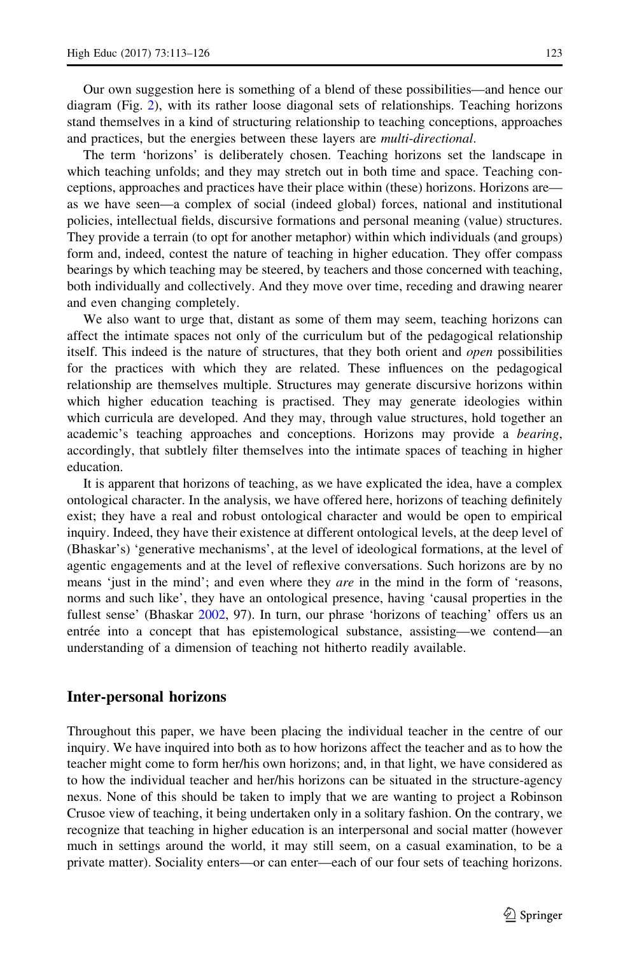Our own suggestion here is something of a blend of these possibilities—and hence our diagram (Fig. [2\)](#page-9-0), with its rather loose diagonal sets of relationships. Teaching horizons stand themselves in a kind of structuring relationship to teaching conceptions, approaches and practices, but the energies between these layers are multi-directional.

The term 'horizons' is deliberately chosen. Teaching horizons set the landscape in which teaching unfolds; and they may stretch out in both time and space. Teaching conceptions, approaches and practices have their place within (these) horizons. Horizons are as we have seen—a complex of social (indeed global) forces, national and institutional policies, intellectual fields, discursive formations and personal meaning (value) structures. They provide a terrain (to opt for another metaphor) within which individuals (and groups) form and, indeed, contest the nature of teaching in higher education. They offer compass bearings by which teaching may be steered, by teachers and those concerned with teaching, both individually and collectively. And they move over time, receding and drawing nearer and even changing completely.

We also want to urge that, distant as some of them may seem, teaching horizons can affect the intimate spaces not only of the curriculum but of the pedagogical relationship itself. This indeed is the nature of structures, that they both orient and *open* possibilities for the practices with which they are related. These influences on the pedagogical relationship are themselves multiple. Structures may generate discursive horizons within which higher education teaching is practised. They may generate ideologies within which curricula are developed. And they may, through value structures, hold together an academic's teaching approaches and conceptions. Horizons may provide a bearing, accordingly, that subtlely filter themselves into the intimate spaces of teaching in higher education.

It is apparent that horizons of teaching, as we have explicated the idea, have a complex ontological character. In the analysis, we have offered here, horizons of teaching definitely exist; they have a real and robust ontological character and would be open to empirical inquiry. Indeed, they have their existence at different ontological levels, at the deep level of (Bhaskar's) 'generative mechanisms', at the level of ideological formations, at the level of agentic engagements and at the level of reflexive conversations. Such horizons are by no means 'just in the mind'; and even where they are in the mind in the form of 'reasons, norms and such like', they have an ontological presence, having 'causal properties in the fullest sense' (Bhaskar [2002](#page-12-0), 97). In turn, our phrase 'horizons of teaching' offers us an entrée into a concept that has epistemological substance, assisting—we contend—an understanding of a dimension of teaching not hitherto readily available.

#### Inter-personal horizons

Throughout this paper, we have been placing the individual teacher in the centre of our inquiry. We have inquired into both as to how horizons affect the teacher and as to how the teacher might come to form her/his own horizons; and, in that light, we have considered as to how the individual teacher and her/his horizons can be situated in the structure-agency nexus. None of this should be taken to imply that we are wanting to project a Robinson Crusoe view of teaching, it being undertaken only in a solitary fashion. On the contrary, we recognize that teaching in higher education is an interpersonal and social matter (however much in settings around the world, it may still seem, on a casual examination, to be a private matter). Sociality enters—or can enter—each of our four sets of teaching horizons.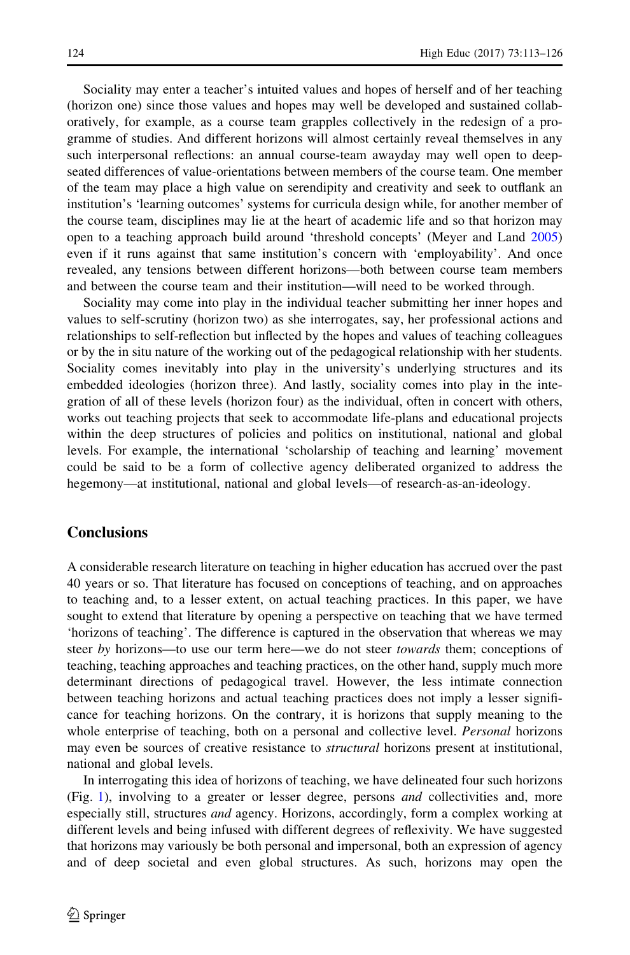Sociality may enter a teacher's intuited values and hopes of herself and of her teaching (horizon one) since those values and hopes may well be developed and sustained collaboratively, for example, as a course team grapples collectively in the redesign of a programme of studies. And different horizons will almost certainly reveal themselves in any such interpersonal reflections: an annual course-team awayday may well open to deepseated differences of value-orientations between members of the course team. One member of the team may place a high value on serendipity and creativity and seek to outflank an institution's 'learning outcomes' systems for curricula design while, for another member of the course team, disciplines may lie at the heart of academic life and so that horizon may open to a teaching approach build around 'threshold concepts' (Meyer and Land [2005](#page-13-0)) even if it runs against that same institution's concern with 'employability'. And once revealed, any tensions between different horizons—both between course team members and between the course team and their institution—will need to be worked through.

Sociality may come into play in the individual teacher submitting her inner hopes and values to self-scrutiny (horizon two) as she interrogates, say, her professional actions and relationships to self-reflection but inflected by the hopes and values of teaching colleagues or by the in situ nature of the working out of the pedagogical relationship with her students. Sociality comes inevitably into play in the university's underlying structures and its embedded ideologies (horizon three). And lastly, sociality comes into play in the integration of all of these levels (horizon four) as the individual, often in concert with others, works out teaching projects that seek to accommodate life-plans and educational projects within the deep structures of policies and politics on institutional, national and global levels. For example, the international 'scholarship of teaching and learning' movement could be said to be a form of collective agency deliberated organized to address the hegemony—at institutional, national and global levels—of research-as-an-ideology.

### **Conclusions**

A considerable research literature on teaching in higher education has accrued over the past 40 years or so. That literature has focused on conceptions of teaching, and on approaches to teaching and, to a lesser extent, on actual teaching practices. In this paper, we have sought to extend that literature by opening a perspective on teaching that we have termed 'horizons of teaching'. The difference is captured in the observation that whereas we may steer by horizons—to use our term here—we do not steer *towards* them; conceptions of teaching, teaching approaches and teaching practices, on the other hand, supply much more determinant directions of pedagogical travel. However, the less intimate connection between teaching horizons and actual teaching practices does not imply a lesser significance for teaching horizons. On the contrary, it is horizons that supply meaning to the whole enterprise of teaching, both on a personal and collective level. *Personal* horizons may even be sources of creative resistance to *structural* horizons present at institutional, national and global levels.

In interrogating this idea of horizons of teaching, we have delineated four such horizons (Fig. [1\)](#page-8-0), involving to a greater or lesser degree, persons *and* collectivities and, more especially still, structures *and* agency. Horizons, accordingly, form a complex working at different levels and being infused with different degrees of reflexivity. We have suggested that horizons may variously be both personal and impersonal, both an expression of agency and of deep societal and even global structures. As such, horizons may open the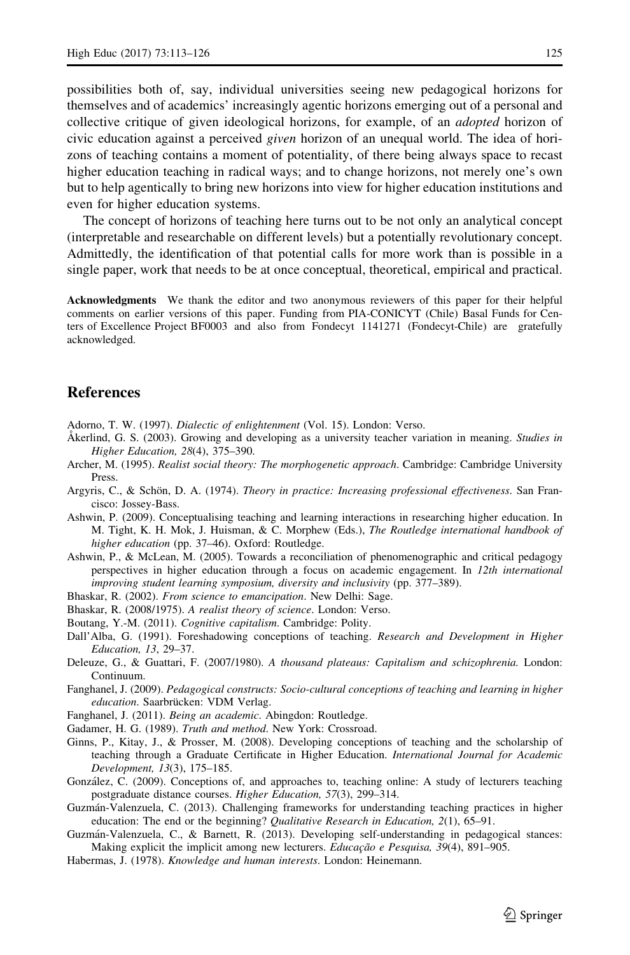<span id="page-12-0"></span>possibilities both of, say, individual universities seeing new pedagogical horizons for themselves and of academics' increasingly agentic horizons emerging out of a personal and collective critique of given ideological horizons, for example, of an *adopted* horizon of civic education against a perceived given horizon of an unequal world. The idea of horizons of teaching contains a moment of potentiality, of there being always space to recast higher education teaching in radical ways; and to change horizons, not merely one's own but to help agentically to bring new horizons into view for higher education institutions and even for higher education systems.

The concept of horizons of teaching here turns out to be not only an analytical concept (interpretable and researchable on different levels) but a potentially revolutionary concept. Admittedly, the identification of that potential calls for more work than is possible in a single paper, work that needs to be at once conceptual, theoretical, empirical and practical.

Acknowledgments We thank the editor and two anonymous reviewers of this paper for their helpful comments on earlier versions of this paper. Funding from PIA-CONICYT (Chile) Basal Funds for Centers of Excellence Project BF0003 and also from Fondecyt 1141271 (Fondecyt-Chile) are gratefully acknowledged.

## **References**

Adorno, T. W. (1997). Dialectic of enlightenment (Vol. 15). London: Verso.

- Åkerlind, G. S. (2003). Growing and developing as a university teacher variation in meaning. Studies in Higher Education, 28(4), 375–390.
- Archer, M. (1995). Realist social theory: The morphogenetic approach. Cambridge: Cambridge University Press.
- Argyris, C., & Schön, D. A. (1974). Theory in practice: Increasing professional effectiveness. San Francisco: Jossey-Bass.

Ashwin, P. (2009). Conceptualising teaching and learning interactions in researching higher education. In M. Tight, K. H. Mok, J. Huisman, & C. Morphew (Eds.), The Routledge international handbook of higher education (pp. 37–46). Oxford: Routledge.

- Ashwin, P., & McLean, M. (2005). Towards a reconciliation of phenomenographic and critical pedagogy perspectives in higher education through a focus on academic engagement. In 12th international improving student learning symposium, diversity and inclusivity (pp. 377–389).
- Bhaskar, R. (2002). From science to emancipation. New Delhi: Sage.
- Bhaskar, R. (2008/1975). A realist theory of science. London: Verso.
- Boutang, Y.-M. (2011). Cognitive capitalism. Cambridge: Polity.
- Dall'Alba, G. (1991). Foreshadowing conceptions of teaching. Research and Development in Higher Education, 13, 29–37.
- Deleuze, G., & Guattari, F. (2007/1980). A thousand plateaus: Capitalism and schizophrenia. London: Continuum.
- Fanghanel, J. (2009). Pedagogical constructs: Socio-cultural conceptions of teaching and learning in higher education. Saarbrücken: VDM Verlag.
- Fanghanel, J. (2011). Being an academic. Abingdon: Routledge.
- Gadamer, H. G. (1989). Truth and method. New York: Crossroad.
- Ginns, P., Kitay, J., & Prosser, M. (2008). Developing conceptions of teaching and the scholarship of teaching through a Graduate Certificate in Higher Education. International Journal for Academic Development, 13(3), 175–185.
- González, C. (2009). Conceptions of, and approaches to, teaching online: A study of lecturers teaching postgraduate distance courses. Higher Education, 57(3), 299–314.
- Guzma´n-Valenzuela, C. (2013). Challenging frameworks for understanding teaching practices in higher education: The end or the beginning? Qualitative Research in Education, 2(1), 65–91.
- Guzmán-Valenzuela, C., & Barnett, R. (2013). Developing self-understanding in pedagogical stances: Making explicit the implicit among new lecturers. *Educação e Pesquisa*,  $39(4)$ ,  $891-905$ .
- Habermas, J. (1978). Knowledge and human interests. London: Heinemann.